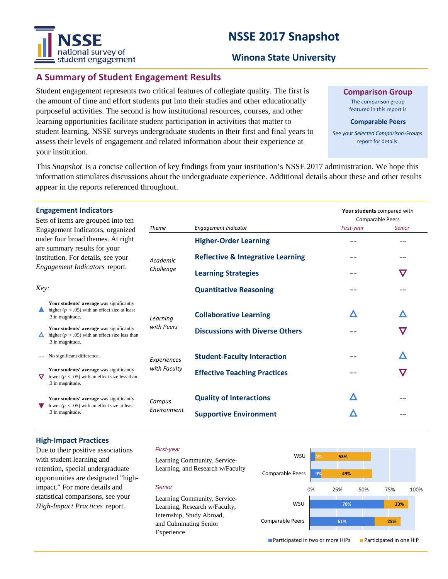# **NSSE 2017 Snapshot**



#### **Winona State University**

### **A Summary of Student Engagement Results**

Student engagement represents two critical features of collegiate quality. The first is the amount of time and effort students put into their studies and other educationally purposeful activities. The second is how institutional resources, courses, and other learning opportunities facilitate student participation in activities that matter to student learning. NSSE surveys undergraduate students in their first and final years to assess their levels of engagement and related information about their experience at your institution.

**Comparison Group**

The comparison group featured in this report is

#### **Comparable Peers**

See your *Selected Comparison Groups*  report for details.

**Your students** compared with

This *Snapshot* is a concise collection of key findings from your institution's NSSE 2017 administration. We hope this information stimulates discussions about the undergraduate experience. Additional details about these and other results appear in the reports referenced throughout.

#### **Engagement Indicators**

| Sets of items are grouped into ten<br>Engagement Indicators, organized<br>under four broad themes. At right<br>are summary results for your<br>institution. For details, see your<br>Engagement Indicators report. |                                                                                                                    |                             |                                              | <b>Comparable Peers</b> |               |
|--------------------------------------------------------------------------------------------------------------------------------------------------------------------------------------------------------------------|--------------------------------------------------------------------------------------------------------------------|-----------------------------|----------------------------------------------|-------------------------|---------------|
|                                                                                                                                                                                                                    |                                                                                                                    | <b>Theme</b>                | Engagement Indicator                         | First-year              | <b>Senior</b> |
|                                                                                                                                                                                                                    |                                                                                                                    | Academic<br>Challenge       | <b>Higher-Order Learning</b>                 |                         |               |
|                                                                                                                                                                                                                    |                                                                                                                    |                             | <b>Reflective &amp; Integrative Learning</b> |                         | --            |
|                                                                                                                                                                                                                    |                                                                                                                    |                             | <b>Learning Strategies</b>                   |                         | $\bm{\nabla}$ |
| Key:                                                                                                                                                                                                               |                                                                                                                    |                             | <b>Quantitative Reasoning</b>                | $- -$                   |               |
|                                                                                                                                                                                                                    | Your students' average was significantly<br>higher ( $p < .05$ ) with an effect size at least<br>.3 in magnitude.  | Learning<br>with Peers      | <b>Collaborative Learning</b>                | Λ                       | Λ             |
|                                                                                                                                                                                                                    | Your students' average was significantly<br>higher ( $p < .05$ ) with an effect size less than<br>.3 in magnitude. |                             | <b>Discussions with Diverse Others</b>       |                         | $\bm{\nabla}$ |
|                                                                                                                                                                                                                    | No significant difference.                                                                                         | Experiences<br>with Faculty | <b>Student-Faculty Interaction</b>           |                         | Λ             |
| $\bm{\nabla}$                                                                                                                                                                                                      | Your students' average was significantly<br>lower ( $p < .05$ ) with an effect size less than<br>.3 in magnitude.  |                             | <b>Effective Teaching Practices</b>          | $- -$                   | $\bm{\nabla}$ |
|                                                                                                                                                                                                                    | Your students' average was significantly<br>lower ( $p < .05$ ) with an effect size at least<br>.3 in magnitude.   | Campus<br>Environment       | <b>Quality of Interactions</b>               | Δ                       |               |
|                                                                                                                                                                                                                    |                                                                                                                    |                             | <b>Supportive Environment</b>                |                         |               |

#### **High-Impact Practices**

Due to their positive associations with student learning and retention, special undergraduate opportunities are designated "highimpact." For more details and statistical comparisons, see your *High-Impact Practices* report.

#### *First-year*

*Senior*

Experience

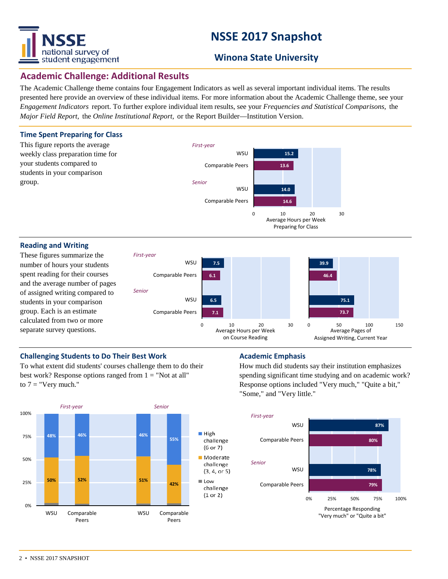

# **NSSE 2017 Snapshot**

### **Winona State University**

### **Academic Challenge: Additional Results**

The Academic Challenge theme contains four Engagement Indicators as well as several important individual items. The results presented here provide an overview of these individual items. For more information about the Academic Challenge theme, see your *Engagement Indicators* report. To further explore individual item results, see your *Frequencies and Statistical Comparisons,* the *Major Field Report,* the *Online Institutional Report,* or the Report Builder—Institution Version.



#### **Reading and Writing**

These figures summarize the number of hours your students spent reading for their courses and the average number of pages of assigned writing compared to students in your comparison group. Each is an estimate calculated from two or more separate survey questions.



#### **Challenging Students to Do Their Best Work <b>Academic Emphasis**

To what extent did students' courses challenge them to do their best work? Response options ranged from  $1 = "Not at all"$ to  $7 =$  "Very much."



How much did students say their institution emphasizes spending significant time studying and on academic work? Response options included "Very much," "Quite a bit," "Some," and "Very little."

![](_page_1_Figure_14.jpeg)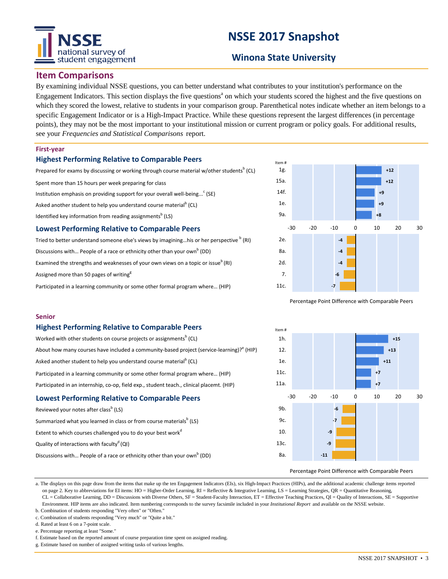# national survey of student engagement

# **NSSE 2017 Snapshot**

### **Winona State University**

#### **Item Comparisons**

By examining individual NSSE questions, you can better understand what contributes to your institution's performance on the Engagement Indicators. This section displays the five questions<sup>a</sup> on which your students scored the highest and the five questions on which they scored the lowest, relative to students in your comparison group. Parenthetical notes indicate whether an item belongs to a specific Engagement Indicator or is a High-Impact Practice. While these questions represent the largest differences (in percentage points), they may not be the most important to your institutional mission or current program or policy goals. For additional results, see your *Frequencies and Statistical Comparisons* report.

#### **First-year**

#### **Highest Performing Relative to Comparable Peers**

Prepared for exams by discussing or working through course material w/other students<sup>b</sup> (CL) Spent more than 15 hours per week preparing for class Institution emphasis on providing support for your overall well-being...<sup>c</sup> (SE) Asked another student to help you understand course material<sup>b</sup> (CL) Identified key information from reading assignments<sup>b</sup> (LS) **Lowest Performing Relative to Comparable Peers**

Tried to better understand someone else's views by imagining...his or her perspective <sup>b</sup> (RI) Discussions with... People of a race or ethnicity other than your own<sup>b</sup> (DD) Examined the strengths and weaknesses of your own views on a topic or issue<sup>b</sup> (RI) Assigned more than 50 pages of writing<sup>g</sup>

Participated in a learning community or some other formal program where… (HIP)

![](_page_2_Figure_10.jpeg)

Percentage Point Difference with Comparable Peers

#### **Senior**

#### **Highest Performing Relative to Comparable Peers**

| Worked with other students on course projects or assignments <sup>b</sup> (CL)            |  |  |  |  |  |  |
|-------------------------------------------------------------------------------------------|--|--|--|--|--|--|
| About how many courses have included a community-based project (service-learning)? (HIP)  |  |  |  |  |  |  |
| Asked another student to help you understand course material <sup>b</sup> (CL)            |  |  |  |  |  |  |
| Participated in a learning community or some other formal program where (HIP)             |  |  |  |  |  |  |
| Participated in an internship, co-op, field exp., student teach., clinical placemt. (HIP) |  |  |  |  |  |  |
| <b>Lowest Performing Relative to Comparable Peers</b>                                     |  |  |  |  |  |  |
| Reviewed your notes after class <sup>b</sup> (LS)                                         |  |  |  |  |  |  |

| Summarized what you learned in class or from course materials <sup>b</sup> (LS)      |
|--------------------------------------------------------------------------------------|
| Extent to which courses challenged you to do your best work <sup>d</sup>             |
| Quality of interactions with faculty <sup>d</sup> (QI)                               |
| Discussions with People of a race or ethnicity other than your own <sup>b</sup> (DD) |

![](_page_2_Figure_16.jpeg)

Percentage Point Difference with Comparable Peers

a. The displays on this page draw from the items that make up the ten Engagement Indicators (EIs), six High-Impact Practices (HIPs), and the additional academic challenge items reported on page 2. Key to abbreviations for EI items: HO = Higher-Order Learning, RI = Reflective & Integrative Learning, LS = Learning Strategies, QR = Quantitative Reasoning, CL = Collaborative Learning, DD = Discussions with Diverse Others, SF = Student-Faculty Interaction, ET = Effective Teaching Practices, QI = Quality of Interactions, SE = Supportive Environment. HIP items are also indicated. Item numbering corresponds to the survey facsimile included in your *Institutional Report* and available on the NSSE website.

b. Combination of students responding "Very often" or "Often." c. Combination of students responding "Very much" or "Quite a bit."

d. Rated at least 6 on a 7-point scale.

e. Percentage reporting at least "Some."

f. Estimate based on the reported amount of course preparation time spent on assigned reading.

g. Estimate based on number of assigned writing tasks of various lengths.